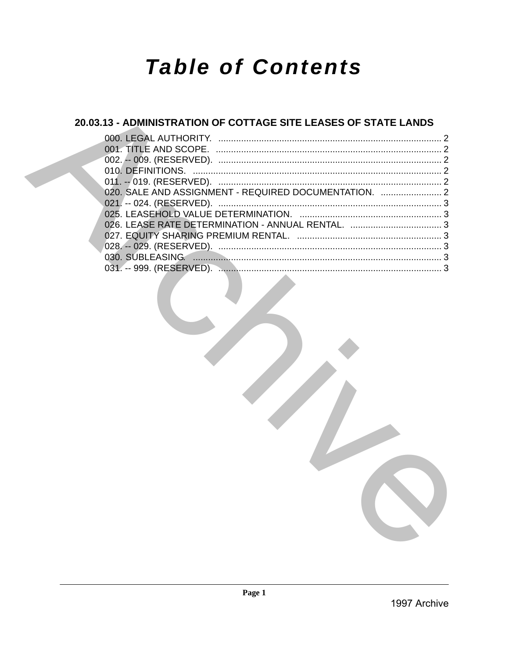# **Table of Contents**

### 20.03.13 - ADMINISTRATION OF COTTAGE SITE LEASES OF STATE LANDS

| 020. SALE AND ASSIGNMENT - REQUIRED DOCUMENTATION.  2 |  |
|-------------------------------------------------------|--|
|                                                       |  |
|                                                       |  |
|                                                       |  |
|                                                       |  |
|                                                       |  |
|                                                       |  |
|                                                       |  |
|                                                       |  |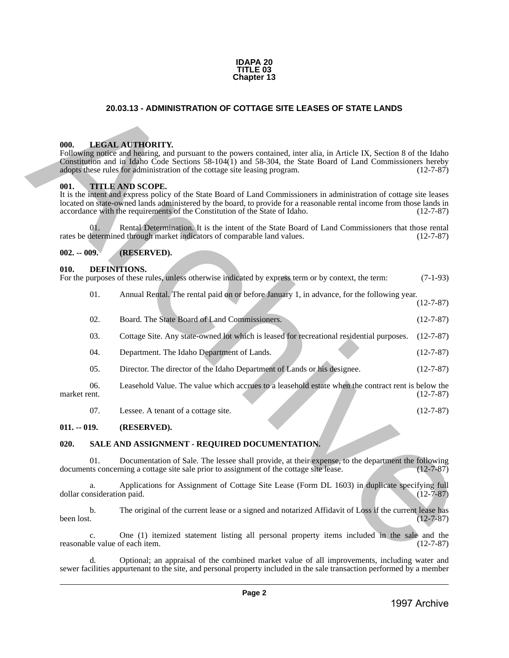#### **IDAPA 20 TITLE 03 Chapter 13**

#### **20.03.13 - ADMINISTRATION OF COTTAGE SITE LEASES OF STATE LANDS**

#### <span id="page-1-1"></span>**000. LEGAL AUTHORITY.**

Following notice and hearing, and pursuant to the powers contained, inter alia, in Article IX, Section 8 of the Idaho Constitution and in Idaho Code Sections 58-104(1) and 58-304, the State Board of Land Commissioners hereby adopts these rules for administration of the cottage site leasing program. (12-7-87)

#### <span id="page-1-2"></span>**001. TITLE AND SCOPE.**

<span id="page-1-0"></span>It is the intent and express policy of the State Board of Land Commissioners in administration of cottage site leases located on state-owned lands administered by the board, to provide for a reasonable rental income from those lands in accordance with the requirements of the Constitution of the State of Idaho. (12-7-87) accordance with the requirements of the Constitution of the State of Idaho. **20.03.13 - ADMINISTRATION OF COTTAGE SITE LEASES OF STATE LANDS<br>
1998.** LANGAL ATTICORTY.<br>
From the state and leading and process contained, in the sight of the Kidab Contained Site and the state and in the sight of the

Rental Determination. It is the intent of the State Board of Land Commissioners that those rental<br>determination of comparable land values. (12-7-87) rates be determined through market indicators of comparable land values.

#### <span id="page-1-3"></span>**002. -- 009. (RESERVED).**

#### <span id="page-1-4"></span>**010. DEFINITIONS.**

For the purposes of these rules, unless otherwise indicated by express term or by context, the term: (7-1-93)

01. Annual Rental. The rental paid on or before January 1, in advance, for the following year. (12-7-87)

- 02. Board. The State Board of Land Commissioners. (12-7-87)
- 03. Cottage Site. Any state-owned lot which is leased for recreational residential purposes. (12-7-87)
- 04. Department. The Idaho Department of Lands. (12-7-87)
- 05. Director. The director of the Idaho Department of Lands or his designee. (12-7-87)

06. Leasehold Value. The value which accrues to a leasehold estate when the contract rent is below the market rent. (12-7-87)

07. Lessee. A tenant of a cottage site. (12-7-87)

#### <span id="page-1-5"></span>**011. -- 019. (RESERVED).**

#### <span id="page-1-6"></span>**020. SALE AND ASSIGNMENT - REQUIRED DOCUMENTATION.**

01. Documentation of Sale. The lessee shall provide, at their expense, to the department the following documents concerning a cottage site sale prior to assignment of the cottage site lease. (12-7-87)

a. Applications for Assignment of Cottage Site Lease (Form DL 1603) in duplicate specifying full nsideration paid. (12-7-87) dollar consideration paid.

b. The original of the current lease or a signed and notarized Affidavit of Loss if the current lease has  $(12-7-87)$ been lost.  $(12-7-87)$ 

c. One (1) itemized statement listing all personal property items included in the sale and the reasonable value of each item.

d. Optional; an appraisal of the combined market value of all improvements, including water and sewer facilities appurtenant to the site, and personal property included in the sale transaction performed by a member